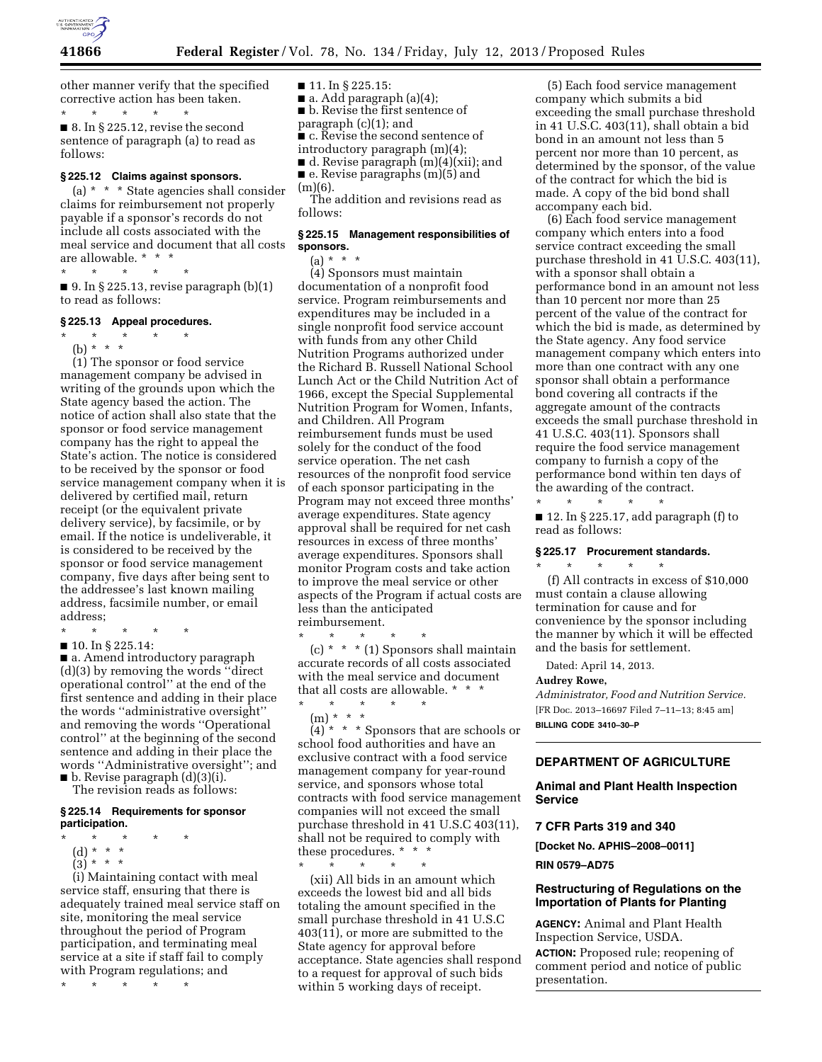

other manner verify that the specified corrective action has been taken.

\* \* \* \* \* ■ 8. In § 225.12, revise the second sentence of paragraph (a) to read as follows:

# **§ 225.12 Claims against sponsors.**

(a) \* \* \* State agencies shall consider claims for reimbursement not properly payable if a sponsor's records do not include all costs associated with the meal service and document that all costs are allowable. \* \* \*

\* \* \* \* \*

 $\blacksquare$  9. In § 225.13, revise paragraph (b)(1) to read as follows:

#### **§ 225.13 Appeal procedures.**

\* \* \* \* \* (b) \* \* \*

(1) The sponsor or food service management company be advised in writing of the grounds upon which the State agency based the action. The notice of action shall also state that the sponsor or food service management company has the right to appeal the State's action. The notice is considered to be received by the sponsor or food service management company when it is delivered by certified mail, return receipt (or the equivalent private delivery service), by facsimile, or by email. If the notice is undeliverable, it is considered to be received by the sponsor or food service management company, five days after being sent to the addressee's last known mailing address, facsimile number, or email address;

\* \* \* \* \* ■ 10. In § 225.14:

■ a. Amend introductory paragraph (d)(3) by removing the words ''direct operational control'' at the end of the

first sentence and adding in their place the words ''administrative oversight'' and removing the words ''Operational control'' at the beginning of the second sentence and adding in their place the words ''Administrative oversight''; and  $\blacksquare$  b. Revise paragraph  $(d)(3)(i)$ .

The revision reads as follows:

#### **§ 225.14 Requirements for sponsor participation.**

- \* \* \* \* \*
- (d) \* \* \*
- $(3) * * * *$

(i) Maintaining contact with meal service staff, ensuring that there is adequately trained meal service staff on site, monitoring the meal service throughout the period of Program participation, and terminating meal service at a site if staff fail to comply with Program regulations; and

\* \* \* \* \*

- 11. In § 225.15:
- $\blacksquare$  a. Add paragraph (a)(4);
- b. Revise the first sentence of
- paragraph (c)(1); and ■ c. Revise the second sentence of
- introductory paragraph (m)(4);
- d. Revise paragraph (m)(4)(xii); and
- e. Revise paragraphs (m)(5) and  $(m)(6)$ .

The addition and revisions read as follows:

### **§ 225.15 Management responsibilities of sponsors.**

(a) \* \* \*

(4) Sponsors must maintain documentation of a nonprofit food service. Program reimbursements and expenditures may be included in a single nonprofit food service account with funds from any other Child Nutrition Programs authorized under the Richard B. Russell National School Lunch Act or the Child Nutrition Act of 1966, except the Special Supplemental Nutrition Program for Women, Infants, and Children. All Program reimbursement funds must be used solely for the conduct of the food service operation. The net cash resources of the nonprofit food service of each sponsor participating in the Program may not exceed three months' average expenditures. State agency approval shall be required for net cash resources in excess of three months' average expenditures. Sponsors shall monitor Program costs and take action to improve the meal service or other aspects of the Program if actual costs are less than the anticipated reimbursement.

\* \* \* \* \* (c)  $*$   $*$   $*$  (1) Sponsors shall maintain accurate records of all costs associated with the meal service and document that all costs are allowable. \* \* \*

\* \* \* \* \*

(m) \* \* \*  $(4)$ <sup>\*</sup> \* \* Sponsors that are schools or school food authorities and have an exclusive contract with a food service management company for year-round service, and sponsors whose total contracts with food service management companies will not exceed the small purchase threshold in 41 U.S.C 403(11), shall not be required to comply with these procedures. \* \* \*

\* \* \* \* \* (xii) All bids in an amount which exceeds the lowest bid and all bids totaling the amount specified in the small purchase threshold in 41 U.S.C 403(11), or more are submitted to the State agency for approval before acceptance. State agencies shall respond to a request for approval of such bids within 5 working days of receipt.

(5) Each food service management company which submits a bid exceeding the small purchase threshold in 41 U.S.C. 403(11), shall obtain a bid bond in an amount not less than 5 percent nor more than 10 percent, as determined by the sponsor, of the value of the contract for which the bid is made. A copy of the bid bond shall accompany each bid.

(6) Each food service management company which enters into a food service contract exceeding the small purchase threshold in 41 U.S.C. 403(11), with a sponsor shall obtain a performance bond in an amount not less than 10 percent nor more than 25 percent of the value of the contract for which the bid is made, as determined by the State agency. Any food service management company which enters into more than one contract with any one sponsor shall obtain a performance bond covering all contracts if the aggregate amount of the contracts exceeds the small purchase threshold in 41 U.S.C. 403(11). Sponsors shall require the food service management company to furnish a copy of the performance bond within ten days of the awarding of the contract.

 $\star$   $\qquad$   $\star$   $\qquad$   $\star$ ■ 12. In § 225.17, add paragraph (f) to read as follows:

#### **§ 225.17 Procurement standards.**

(f) All contracts in excess of \$10,000 must contain a clause allowing termination for cause and for convenience by the sponsor including the manner by which it will be effected and the basis for settlement.

Dated: April 14, 2013.

\* \* \* \* \*

#### **Audrey Rowe,**

*Administrator, Food and Nutrition Service.*  [FR Doc. 2013–16697 Filed 7–11–13; 8:45 am] **BILLING CODE 3410–30–P** 

# **DEPARTMENT OF AGRICULTURE**

**Animal and Plant Health Inspection Service** 

#### **7 CFR Parts 319 and 340**

**[Docket No. APHIS–2008–0011] RIN 0579–AD75** 

### **Restructuring of Regulations on the Importation of Plants for Planting**

**AGENCY:** Animal and Plant Health Inspection Service, USDA.

**ACTION:** Proposed rule; reopening of comment period and notice of public presentation.